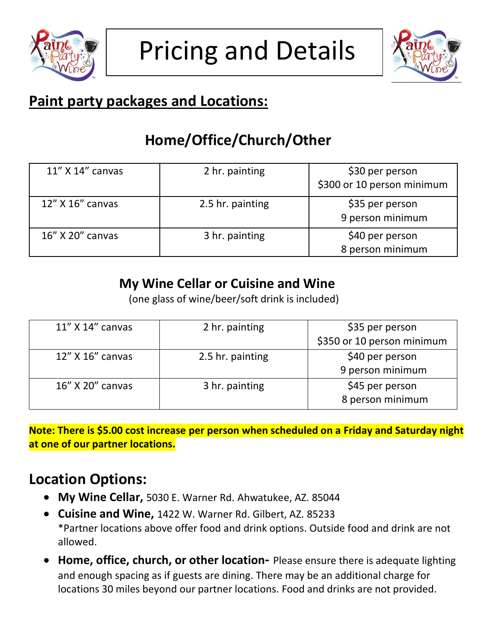



## **Paint party packages and Locations:**

# **Home/Office/Church/Other**

| 11" X 14" canvas | 2 hr. painting   | \$30 per person<br>\$300 or 10 person minimum |
|------------------|------------------|-----------------------------------------------|
| 12" X 16" canvas | 2.5 hr. painting | \$35 per person<br>9 person minimum           |
| 16" X 20" canvas | 3 hr. painting   | \$40 per person<br>8 person minimum           |

#### **My Wine Cellar or Cuisine and Wine**

(one glass of wine/beer/soft drink is included)

| 11" X 14" canvas | 2 hr. painting   | \$35 per person            |
|------------------|------------------|----------------------------|
|                  |                  | \$350 or 10 person minimum |
| 12" X 16" canvas | 2.5 hr. painting | \$40 per person            |
|                  |                  | 9 person minimum           |
| 16" X 20" canvas | 3 hr. painting   | \$45 per person            |
|                  |                  | 8 person minimum           |

**Note: There is \$5.00 cost increase per person when scheduled on a Friday and Saturday night at one of our partner locations.**

## **Location Options:**

- **My Wine Cellar,** 5030 E. Warner Rd. Ahwatukee, AZ. 85044
- **Cuisine and Wine,** 1422 W. Warner Rd. Gilbert, AZ. 85233 \*Partner locations above offer food and drink options. Outside food and drink are not allowed.
- **Home, office, church, or other location-** Please ensure there is adequate lighting and enough spacing as if guests are dining. There may be an additional charge for locations 30 miles beyond our partner locations. Food and drinks are not provided.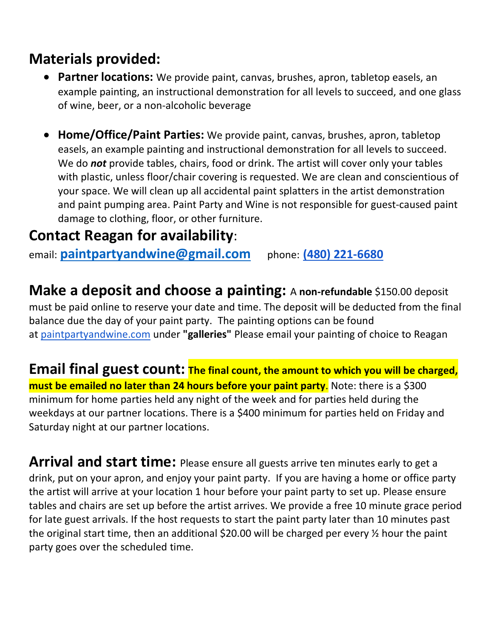## **Materials provided:**

- **Partner locations:** We provide paint, canvas, brushes, apron, tabletop easels, an example painting, an instructional demonstration for all levels to succeed, and one glass of wine, beer, or a non-alcoholic beverage
- **Home/Office/Paint Parties:** We provide paint, canvas, brushes, apron, tabletop easels, an example painting and instructional demonstration for all levels to succeed. We do *not* provide tables, chairs, food or drink. The artist will cover only your tables with plastic, unless floor/chair covering is requested. We are clean and conscientious of your space. We will clean up all accidental paint splatters in the artist demonstration and paint pumping area. Paint Party and Wine is not responsible for guest-caused paint damage to clothing, floor, or other furniture.

#### **Contact Reagan for availability**:

email: **[paintpartyandwine@gmail.com](mailto:paintpartyandwine@gmail.com)** phone: **[\(480\) 221-6680](tel:%28480%29%20221-6680)**

**Make a deposit and choose a painting:** <sup>A</sup>**non-refundable** \$150.00 deposit must be paid online to reserve your date and time. The deposit will be deducted from the final balance due the day of your paint party. The painting options can be found at [paintpartyandwine.com](http://paintpartyandwine.com/) under **"galleries"** Please email your painting of choice to Reagan

**Email final guest count: The final count, the amount to which you will be charged, must be emailed no later than 24 hours before your paint party**. Note: there is a \$300 minimum for home parties held any night of the week and for parties held during the weekdays at our partner locations. There is a \$400 minimum for parties held on Friday and Saturday night at our partner locations.

Arrival and start time: Please ensure all guests arrive ten minutes early to get a drink, put on your apron, and enjoy your paint party. If you are having a home or office party the artist will arrive at your location 1 hour before your paint party to set up. Please ensure tables and chairs are set up before the artist arrives. We provide a free 10 minute grace period for late guest arrivals. If the host requests to start the paint party later than 10 minutes past the original start time, then an additional \$20.00 will be charged per every % hour the paint party goes over the scheduled time.